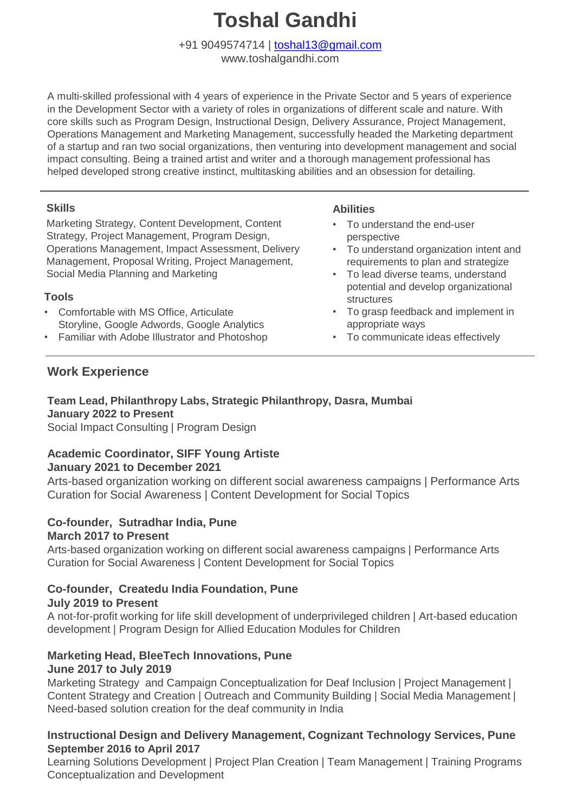# **Toshal Gandhi**

+91 9049574714 | [toshal13@gmail.com](mailto:toshal13@gmail.com)

www.toshalgandhi.com

A multi-skilled professional with 4 years of experience in the Private Sector and 5 years of experience in the Development Sector with a variety of roles in organizations of different scale and nature. With core skills such as Program Design, Instructional Design, Delivery Assurance, Project Management, Operations Management and Marketing Management, successfully headed the Marketing department of a startup and ran two social organizations, then venturing into development management and social impact consulting. Being a trained artist and writer and a thorough management professional has helped developed strong creative instinct, multitasking abilities and an obsession for detailing.

# **Skills**

Marketing Strategy, Content Development, Content Strategy, Project Management, Program Design, Operations Management, Impact Assessment, Delivery Management, Proposal Writing, Project Management, Social Media Planning and Marketing

# **Tools**

- Comfortable with MS Office, Articulate Storyline, Google Adwords, Google Analytics
- Familiar with Adobe Illustrator and Photoshop

## **Abilities**

- To understand the end-user perspective
- To understand organization intent and requirements to plan and strategize
- To lead diverse teams, understand potential and develop organizational structures
- To grasp feedback and implement in appropriate ways
- To communicate ideas effectively

# **Work Experience**

# **Team Lead, Philanthropy Labs, Strategic Philanthropy, Dasra, Mumbai January 2022 to Present**

Social Impact Consulting | Program Design

#### **Academic Coordinator, SIFF Young Artiste January 2021 to December 2021**

Arts-based organization working on different social awareness campaigns | Performance Arts Curation for Social Awareness | Content Development for Social Topics

# **Co-founder, Sutradhar India, Pune March 2017 to Present**

Arts-based organization working on different social awareness campaigns | Performance Arts Curation for Social Awareness | Content Development for Social Topics

#### **Co-founder, Createdu India Foundation, Pune July 2019 to Present**

A not-for-profit working for life skill development of underprivileged children | Art-based education development | Program Design for Allied Education Modules for Children

# **Marketing Head, BleeTech Innovations, Pune June 2017 to July 2019**

Marketing Strategy and Campaign Conceptualization for Deaf Inclusion | Project Management | Content Strategy and Creation | Outreach and Community Building | Social Media Management | Need-based solution creation for the deaf community in India

# **Instructional Design and Delivery Management, Cognizant Technology Services, Pune September 2016 to April 2017**

Learning Solutions Development | Project Plan Creation | Team Management | Training Programs Conceptualization and Development